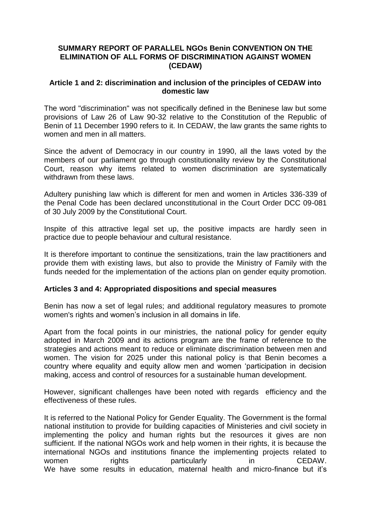### **SUMMARY REPORT OF PARALLEL NGOs Benin CONVENTION ON THE ELIMINATION OF ALL FORMS OF DISCRIMINATION AGAINST WOMEN (CEDAW)**

#### **Article 1 and 2: discrimination and inclusion of the principles of CEDAW into domestic law**

The word "discrimination" was not specifically defined in the Beninese law but some provisions of Law 26 of Law 90-32 relative to the Constitution of the Republic of Benin of 11 December 1990 refers to it. In CEDAW, the law grants the same rights to women and men in all matters.

Since the advent of Democracy in our country in 1990, all the laws voted by the members of our parliament go through constitutionality review by the Constitutional Court, reason why items related to women discrimination are systematically withdrawn from these laws.

Adultery punishing law which is different for men and women in Articles 336-339 of the Penal Code has been declared unconstitutional in the Court Order DCC 09-081 of 30 July 2009 by the Constitutional Court.

Inspite of this attractive legal set up, the positive impacts are hardly seen in practice due to people behaviour and cultural resistance.

It is therefore important to continue the sensitizations, train the law practitioners and provide them with existing laws, but also to provide the Ministry of Family with the funds needed for the implementation of the actions plan on gender equity promotion.

#### **Articles 3 and 4: Appropriated dispositions and special measures**

Benin has now a set of legal rules; and additional regulatory measures to promote women's rights and women's inclusion in all domains in life.

Apart from the focal points in our ministries, the national policy for gender equity adopted in March 2009 and its actions program are the frame of reference to the strategies and actions meant to reduce or eliminate discrimination between men and women. The vision for 2025 under this national policy is that Benin becomes a country where equality and equity allow men and women 'participation in decision making, access and control of resources for a sustainable human development.

However, significant challenges have been noted with regards efficiency and the effectiveness of these rules.

It is referred to the National Policy for Gender Equality. The Government is the formal national institution to provide for building capacities of Ministeries and civil society in implementing the policy and human rights but the resources it gives are non sufficient. If the national NGOs work and help women in their rights, it is because the international NGOs and institutions finance the implementing projects related to women **rights** particularly in CEDAW. We have some results in education, maternal health and micro-finance but it's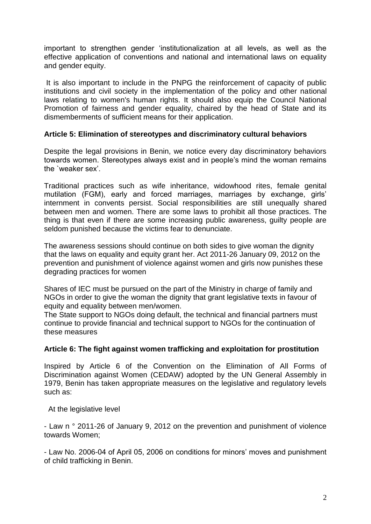important to strengthen gender 'institutionalization at all levels, as well as the effective application of conventions and national and international laws on equality and gender equity.

It is also important to include in the PNPG the reinforcement of capacity of public institutions and civil society in the implementation of the policy and other national laws relating to women's human rights. It should also equip the Council National Promotion of fairness and gender equality, chaired by the head of State and its dismemberments of sufficient means for their application.

## **Article 5: Elimination of stereotypes and discriminatory cultural behaviors**

Despite the legal provisions in Benin, we notice every day discriminatory behaviors towards women. Stereotypes always exist and in people's mind the woman remains the `weaker sex'.

Traditional practices such as wife inheritance, widowhood rites, female genital mutilation (FGM), early and forced marriages, marriages by exchange, girls' internment in convents persist. Social responsibilities are still unequally shared between men and women. There are some laws to prohibit all those practices. The thing is that even if there are some increasing public awareness, guilty people are seldom punished because the victims fear to denunciate.

The awareness sessions should continue on both sides to give woman the dignity that the laws on equality and equity grant her. Act 2011-26 January 09, 2012 on the prevention and punishment of violence against women and girls now punishes these degrading practices for women

Shares of IEC must be pursued on the part of the Ministry in charge of family and NGOs in order to give the woman the dignity that grant legislative texts in favour of equity and equality between men/women.

The State support to NGOs doing default, the technical and financial partners must continue to provide financial and technical support to NGOs for the continuation of these measures

## **Article 6: The fight against women trafficking and exploitation for prostitution**

Inspired by Article 6 of the Convention on the Elimination of All Forms of Discrimination against Women (CEDAW) adopted by the UN General Assembly in 1979, Benin has taken appropriate measures on the legislative and regulatory levels such as:

At the legislative level

- Law n ° 2011-26 of January 9, 2012 on the prevention and punishment of violence towards Women;

- Law No. 2006-04 of April 05, 2006 on conditions for minors' moves and punishment of child trafficking in Benin.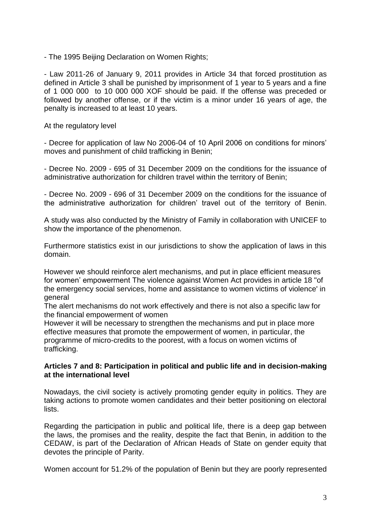- The 1995 Beijing Declaration on Women Rights;

- Law 2011-26 of January 9, 2011 provides in Article 34 that forced prostitution as defined in Article 3 shall be punished by imprisonment of 1 year to 5 years and a fine of 1 000 000 to 10 000 000 XOF should be paid. If the offense was preceded or followed by another offense, or if the victim is a minor under 16 years of age, the penalty is increased to at least 10 years.

At the regulatory level

- Decree for application of law No 2006-04 of 10 April 2006 on conditions for minors' moves and punishment of child trafficking in Benin;

- Decree No. 2009 - 695 of 31 December 2009 on the conditions for the issuance of administrative authorization for children travel within the territory of Benin;

- Decree No. 2009 - 696 of 31 December 2009 on the conditions for the issuance of the administrative authorization for children' travel out of the territory of Benin.

A study was also conducted by the Ministry of Family in collaboration with UNICEF to show the importance of the phenomenon.

Furthermore statistics exist in our jurisdictions to show the application of laws in this domain.

However we should reinforce alert mechanisms, and put in place efficient measures for women' empowerment The violence against Women Act provides in article 18 "of the emergency social services, home and assistance to women victims of violence' in general

The alert mechanisms do not work effectively and there is not also a specific law for the financial empowerment of women

However it will be necessary to strengthen the mechanisms and put in place more effective measures that promote the empowerment of women, in particular, the programme of micro-credits to the poorest, with a focus on women victims of trafficking.

## **Articles 7 and 8: Participation in political and public life and in decision-making at the international level**

Nowadays, the civil society is actively promoting gender equity in politics. They are taking actions to promote women candidates and their better positioning on electoral lists.

Regarding the participation in public and political life, there is a deep gap between the laws, the promises and the reality, despite the fact that Benin, in addition to the CEDAW, is part of the Declaration of African Heads of State on gender equity that devotes the principle of Parity.

Women account for 51.2% of the population of Benin but they are poorly represented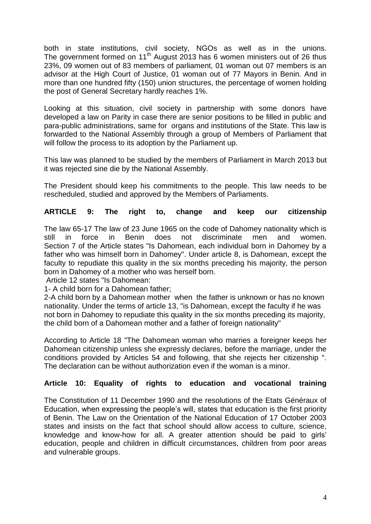both in state institutions, civil society, NGOs as well as in the unions. The government formed on 11<sup>th</sup> August 2013 has 6 women ministers out of 26 thus 23%, 09 women out of 83 members of parliament, 01 woman out 07 members is an advisor at the High Court of Justice, 01 woman out of 77 Mayors in Benin. And in more than one hundred fifty (150) union structures, the percentage of women holding the post of General Secretary hardly reaches 1%.

Looking at this situation, civil society in partnership with some donors have developed a law on Parity in case there are senior positions to be filled in public and para-public administrations, same for organs and institutions of the State. This law is forwarded to the National Assembly through a group of Members of Parliament that will follow the process to its adoption by the Parliament up.

This law was planned to be studied by the members of Parliament in March 2013 but it was rejected sine die by the National Assembly.

The President should keep his commitments to the people. This law needs to be rescheduled, studied and approved by the Members of Parliaments.

# **ARTICLE 9: The right to, change and keep our citizenship**

The law 65-17 The law of 23 June 1965 on the code of Dahomey nationality which is still in force in Benin does not discriminate men and women. Section 7 of the Article states "Is Dahomean, each individual born in Dahomey by a father who was himself born in Dahomey". Under article 8, is Dahomean, except the faculty to repudiate this quality in the six months preceding his majority, the person born in Dahomey of a mother who was herself born.

Article 12 states "Is Dahomean:

1- A child born for a Dahomean father;

2-A child born by a Dahomean mother when the father is unknown or has no known nationality. Under the terms of article 13, "is Dahomean, except the faculty if he was not born in Dahomey to repudiate this quality in the six months preceding its majority, the child born of a Dahomean mother and a father of foreign nationality"

According to Article 18 "The Dahomean woman who marries a foreigner keeps her Dahomean citizenship unless she expressly declares, before the marriage, under the conditions provided by Articles 54 and following, that she rejects her citizenship ". The declaration can be without authorization even if the woman is a minor.

## **Article 10: Equality of rights to education and vocational training**

The Constitution of 11 December 1990 and the resolutions of the Etats Généraux of Education, when expressing the people's will, states that education is the first priority of Benin. The Law on the Orientation of the National Education of 17 October 2003 states and insists on the fact that school should allow access to culture, science, knowledge and know-how for all. A greater attention should be paid to girls' education, people and children in difficult circumstances, children from poor areas and vulnerable groups.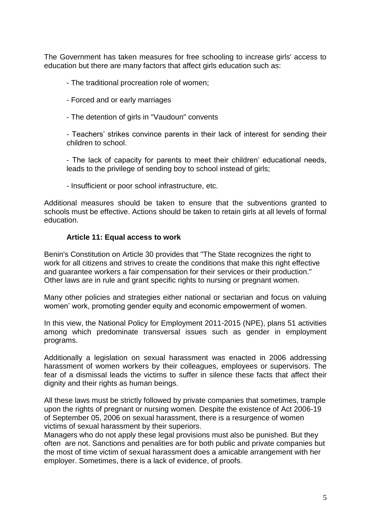The Government has taken measures for free schooling to increase girls' access to education but there are many factors that affect girls education such as:

- The traditional procreation role of women;

- Forced and or early marriages

- The detention of girls in "Vaudoun" convents

- Teachers' strikes convince parents in their lack of interest for sending their children to school.

- The lack of capacity for parents to meet their children' educational needs, leads to the privilege of sending boy to school instead of girls;

- Insufficient or poor school infrastructure, etc.

Additional measures should be taken to ensure that the subventions granted to schools must be effective. Actions should be taken to retain girls at all levels of formal education.

## **Article 11: Equal access to work**

Benin's Constitution on Article 30 provides that "The State recognizes the right to work for all citizens and strives to create the conditions that make this right effective and guarantee workers a fair compensation for their services or their production." Other laws are in rule and grant specific rights to nursing or pregnant women.

Many other policies and strategies either national or sectarian and focus on valuing women' work, promoting gender equity and economic empowerment of women.

In this view, the National Policy for Employment 2011-2015 (NPE), plans 51 activities among which predominate transversal issues such as gender in employment programs.

Additionally a legislation on sexual harassment was enacted in 2006 addressing harassment of women workers by their colleagues, employees or supervisors. The fear of a dismissal leads the victims to suffer in silence these facts that affect their dignity and their rights as human beings.

All these laws must be strictly followed by private companies that sometimes, trample upon the rights of pregnant or nursing women. Despite the existence of Act 2006-19 of September 05, 2006 on sexual harassment, there is a resurgence of women victims of sexual harassment by their superiors.

Managers who do not apply these legal provisions must also be punished. But they often are not. Sanctions and penalities are for both public and private companies but the most of time victim of sexual harassment does a amicable arrangement with her employer. Sometimes, there is a lack of evidence, of proofs.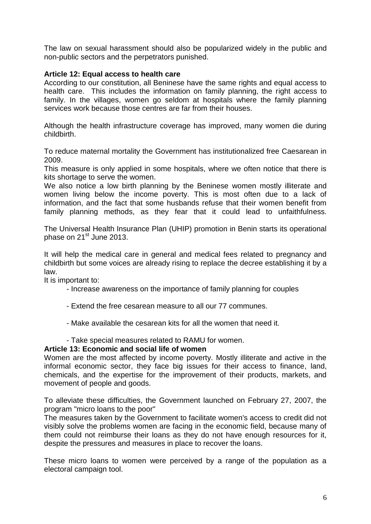The law on sexual harassment should also be popularized widely in the public and non-public sectors and the perpetrators punished.

## **Article 12: Equal access to health care**

According to our constitution, all Beninese have the same rights and equal access to health care. This includes the information on family planning, the right access to family. In the villages, women go seldom at hospitals where the family planning services work because those centres are far from their houses.

Although the health infrastructure coverage has improved, many women die during childbirth.

To reduce maternal mortality the Government has institutionalized free Caesarean in 2009.

This measure is only applied in some hospitals, where we often notice that there is kits shortage to serve the women.

We also notice a low birth planning by the Beninese women mostly illiterate and women living below the income poverty. This is most often due to a lack of information, and the fact that some husbands refuse that their women benefit from family planning methods, as they fear that it could lead to unfaithfulness.

The Universal Health Insurance Plan (UHIP) promotion in Benin starts its operational phase on 21<sup>st</sup> June 2013.

It will help the medical care in general and medical fees related to pregnancy and childbirth but some voices are already rising to replace the decree establishing it by a law.

It is important to:

- Increase awareness on the importance of family planning for couples
- Extend the free cesarean measure to all our 77 communes.
- Make available the cesarean kits for all the women that need it.
- Take special measures related to RAMU for women.

#### **Article 13: Economic and social life of women**

Women are the most affected by income poverty. Mostly illiterate and active in the informal economic sector, they face big issues for their access to finance, land, chemicals, and the expertise for the improvement of their products, markets, and movement of people and goods.

To alleviate these difficulties, the Government launched on February 27, 2007, the program "micro loans to the poor"

The measures taken by the Government to facilitate women's access to credit did not visibly solve the problems women are facing in the economic field, because many of them could not reimburse their loans as they do not have enough resources for it, despite the pressures and measures in place to recover the loans.

These micro loans to women were perceived by a range of the population as a electoral campaign tool.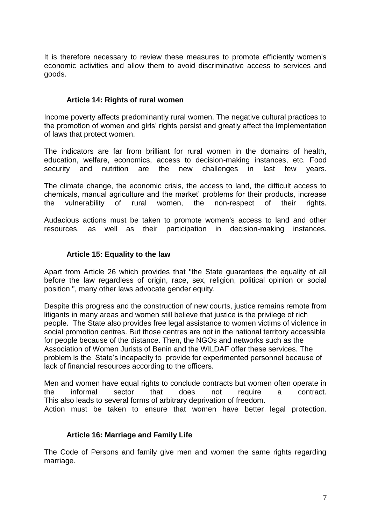It is therefore necessary to review these measures to promote efficiently women's economic activities and allow them to avoid discriminative access to services and goods.

### **Article 14: Rights of rural women**

Income poverty affects predominantly rural women. The negative cultural practices to the promotion of women and girls' rights persist and greatly affect the implementation of laws that protect women.

The indicators are far from brilliant for rural women in the domains of health, education, welfare, economics, access to decision-making instances, etc. Food security and nutrition are the new challenges in last few years.

The climate change, the economic crisis, the access to land, the difficult access to chemicals, manual agriculture and the market' problems for their products, increase the vulnerability of rural women, the non-respect of their rights.

Audacious actions must be taken to promote women's access to land and other resources, as well as their participation in decision-making instances.

#### **Article 15: Equality to the law**

Apart from Article 26 which provides that "the State guarantees the equality of all before the law regardless of origin, race, sex, religion, political opinion or social position ", many other laws advocate gender equity.

Despite this progress and the construction of new courts, justice remains remote from litigants in many areas and women still believe that justice is the privilege of rich people. The State also provides free legal assistance to women victims of violence in social promotion centres. But those centres are not in the national territory accessible for people because of the distance. Then, the NGOs and networks such as the Association of Women Jurists of Benin and the WILDAF offer these services. The problem is the State's incapacity to provide for experimented personnel because of lack of financial resources according to the officers.

Men and women have equal rights to conclude contracts but women often operate in the informal sector that does not require a contract. This also leads to several forms of arbitrary deprivation of freedom. Action must be taken to ensure that women have better legal protection.

#### **Article 16: Marriage and Family Life**

The Code of Persons and family give men and women the same rights regarding marriage.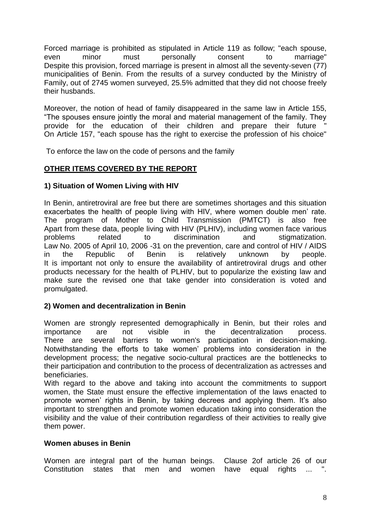Forced marriage is prohibited as stipulated in Article 119 as follow; "each spouse, even minor must personally consent to marriage" Despite this provision, forced marriage is present in almost all the seventy-seven (77) municipalities of Benin. From the results of a survey conducted by the Ministry of Family, out of 2745 women surveyed, 25.5% admitted that they did not choose freely their husbands.

Moreover, the notion of head of family disappeared in the same law in Article 155, "The spouses ensure jointly the moral and material management of the family. They provide for the education of their children and prepare their future On Article 157, "each spouse has the right to exercise the profession of his choice"

To enforce the law on the code of persons and the family

# **OTHER ITEMS COVERED BY THE REPORT**

## **1) Situation of Women Living with HIV**

In Benin, antiretroviral are free but there are sometimes shortages and this situation exacerbates the health of people living with HIV, where women double men' rate. The program of Mother to Child Transmission (PMTCT) is also free Apart from these data, people living with HIV (PLHIV), including women face various problems related to discrimination and stigmatization. Law No. 2005 of April 10, 2006 -31 on the prevention, care and control of HIV / AIDS in the Republic of Benin is relatively unknown by people. It is important not only to ensure the availability of antiretroviral drugs and other products necessary for the health of PLHIV, but to popularize the existing law and make sure the revised one that take gender into consideration is voted and promulgated.

## **2) Women and decentralization in Benin**

Women are strongly represented demographically in Benin, but their roles and importance are not visible in the decentralization process. There are several barriers to women's participation in decision-making. Notwithstanding the efforts to take women' problems into consideration in the development process; the negative socio-cultural practices are the bottlenecks to their participation and contribution to the process of decentralization as actresses and beneficiaries.

With regard to the above and taking into account the commitments to support women, the State must ensure the effective implementation of the laws enacted to promote women' rights in Benin, by taking decrees and applying them. It's also important to strengthen and promote women education taking into consideration the visibility and the value of their contribution regardless of their activities to really give them power.

#### **Women abuses in Benin**

Women are integral part of the human beings. Clause 2of article 26 of our Constitution states that men and women have equal rights ...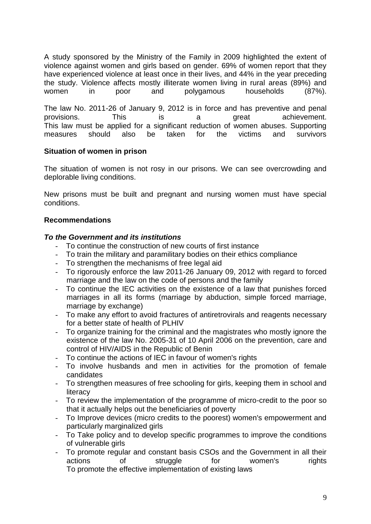A study sponsored by the Ministry of the Family in 2009 highlighted the extent of violence against women and girls based on gender. 69% of women report that they have experienced violence at least once in their lives, and 44% in the year preceding the study. Violence affects mostly illiterate women living in rural areas (89%) and women in poor and polygamous households (87%).

The law No. 2011-26 of January 9, 2012 is in force and has preventive and penal provisions. This is a great achievement. This law must be applied for a significant reduction of women abuses. Supporting measures should also be taken for the victims and survivors

#### **Situation of women in prison**

The situation of women is not rosy in our prisons. We can see overcrowding and deplorable living conditions.

New prisons must be built and pregnant and nursing women must have special conditions.

#### **Recommendations**

#### *To the Government and its institutions*

- To continue the construction of new courts of first instance
- To train the military and paramilitary bodies on their ethics compliance
- To strengthen the mechanisms of free legal aid
- To rigorously enforce the law 2011-26 January 09, 2012 with regard to forced marriage and the law on the code of persons and the family
- To continue the IEC activities on the existence of a law that punishes forced marriages in all its forms (marriage by abduction, simple forced marriage, marriage by exchange)
- To make any effort to avoid fractures of antiretrovirals and reagents necessary for a better state of health of PLHIV
- To organize training for the criminal and the magistrates who mostly ignore the existence of the law No. 2005-31 of 10 April 2006 on the prevention, care and control of HIV/AIDS in the Republic of Benin
- To continue the actions of IEC in favour of women's rights
- To involve husbands and men in activities for the promotion of female candidates
- To strengthen measures of free schooling for girls, keeping them in school and literacy
- To review the implementation of the programme of micro-credit to the poor so that it actually helps out the beneficiaries of poverty
- To Improve devices (micro credits to the poorest) women's empowerment and particularly marginalized girls
- To Take policy and to develop specific programmes to improve the conditions of vulnerable girls
- To promote regular and constant basis CSOs and the Government in all their actions of struggle for women's rights To promote the effective implementation of existing laws